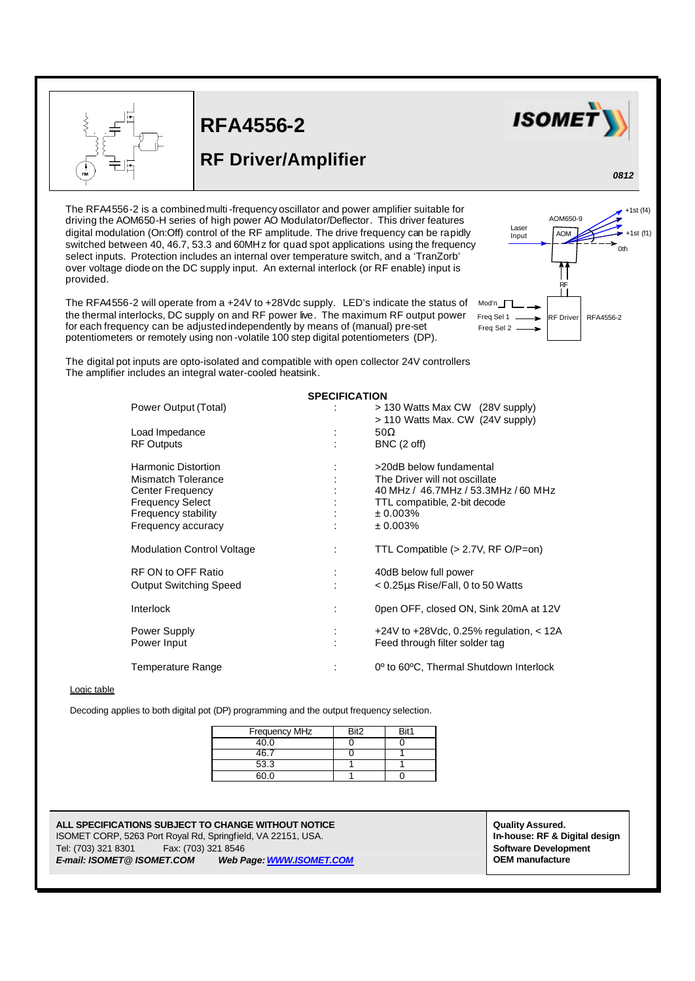

L

## **RFA4556-2**

## **RF Driver/Amplifier**



*0812*

The RFA4556-2 is a combined multi-frequency oscillator and power amplifier suitable for driving the AOM650-H series of high power AO Modulator/Deflector. This driver features digital modulation (On:Off) control of the RF amplitude. The drive frequency can be rapidly switched between 40, 46.7, 53.3 and 60MHz for quad spot applications using the frequency select inputs. Protection includes an internal over temperature switch, and a 'TranZorb' over voltage diode on the DC supply input. An external interlock (or RF enable) input is provided.

The RFA4556-2 will operate from a +24V to +28Vdc supply. LED's indicate the status of Mod'n the thermal interlocks, DC supply on and RF power live. The maximum RF output power for each frequency can be adjusted independently by means of (manual) pre-set potentiometers or remotely using non -volatile 100 step digital potentiometers (DP).



The digital pot inputs are opto-isolated and compatible with open collector 24V controllers The amplifier includes an integral water-cooled heatsink.

| <b>SPECIFICATION</b>              |   |                                                                 |  |  |
|-----------------------------------|---|-----------------------------------------------------------------|--|--|
| Power Output (Total)              |   | > 130 Watts Max CW (28V supply)                                 |  |  |
|                                   |   | > 110 Watts Max. CW (24V supply)                                |  |  |
| Load Impedance                    |   | 50 $\Omega$                                                     |  |  |
| <b>RF Outputs</b>                 |   | BNC (2 off)                                                     |  |  |
|                                   |   |                                                                 |  |  |
| <b>Harmonic Distortion</b>        |   | >20dB below fundamental                                         |  |  |
| Mismatch Tolerance                |   | The Driver will not oscillate                                   |  |  |
| Center Frequency                  |   | 40 MHz / 46.7MHz / 53.3MHz / 60 MHz                             |  |  |
| <b>Frequency Select</b>           |   | TTL compatible, 2-bit decode                                    |  |  |
| Frequency stability               |   | $± 0.003\%$                                                     |  |  |
| Frequency accuracy                |   | $± 0.003\%$                                                     |  |  |
|                                   |   |                                                                 |  |  |
| <b>Modulation Control Voltage</b> |   | TTL Compatible $(> 2.7V, RF O/P=0n)$                            |  |  |
| RF ON to OFF Ratio                | ÷ | 40dB below full power                                           |  |  |
| <b>Output Switching Speed</b>     |   | $<$ 0.25 $\mu$ s Rise/Fall, 0 to 50 Watts                       |  |  |
|                                   |   |                                                                 |  |  |
| <b>Interlock</b>                  |   | 0pen OFF, closed ON, Sink 20mA at 12V                           |  |  |
|                                   |   |                                                                 |  |  |
| Power Supply                      |   | +24V to +28Vdc, 0.25% regulation, $<$ 12A                       |  |  |
| Power Input                       |   | Feed through filter solder tag                                  |  |  |
|                                   |   |                                                                 |  |  |
| Temperature Range                 |   | 0 <sup>°</sup> to 60 <sup>°</sup> C, Thermal Shutdown Interlock |  |  |
|                                   |   |                                                                 |  |  |

## Logic table

Decoding applies to both digital pot (DP) programming and the output frequency selection.

| Frequency MHz | Rit <sub>2</sub> | Rit1 |
|---------------|------------------|------|
| 40.0          |                  |      |
|               |                  |      |
| 53.3          |                  |      |
|               |                  |      |

**ALL SPECIFICATIONS SUBJECT TO CHANGE WITHOUT NOTICE ALL SPECIFICATIONS SUBJECT TO CHANGE WITHOUT NOTICE** ISOMET CORP, 5263 Port Royal Rd, Springfield, VA 22151, USA. **In-house: RF & Digital design** Tel: (703) 321 8301 Fax: (703) 321 8546 **Software Development** *E-mail: ISOMET@ ISOMET.COM Web Page: WWW.ISOMET.COM* **OEM manufacture**